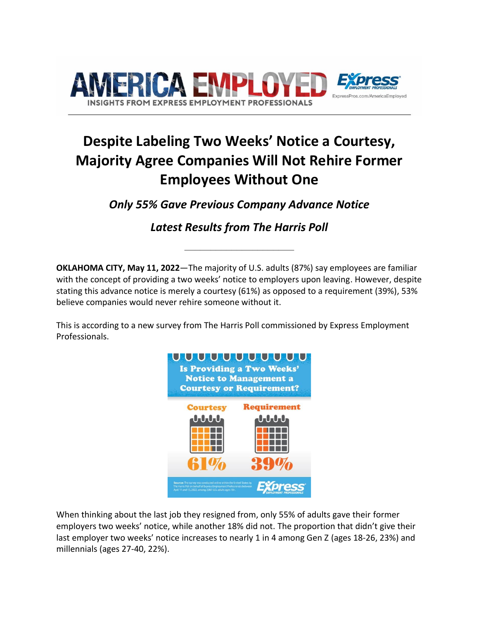

## **Despite Labeling Two Weeks' Notice a Courtesy, Majority Agree Companies Will Not Rehire Former Employees Without One**

*Only 55% Gave Previous Company Advance Notice*

*Latest Results from The Harris Poll*

**\_\_\_\_\_\_\_\_\_\_\_\_\_\_\_\_\_\_\_\_\_**

**OKLAHOMA CITY, May 11, 2022**—The majority of U.S. adults (87%) say employees are familiar with the concept of providing a two weeks' notice to employers upon leaving. However, despite stating this advance notice is merely a courtesy (61%) as opposed to a requirement (39%), 53% believe companies would never rehire someone without it.

This is according to a new survey from The Harris Poll commissioned by Express Employment Professionals.



When thinking about the last job they resigned from, only 55% of adults gave their former employers two weeks' notice, while another 18% did not. The proportion that didn't give their last employer two weeks' notice increases to nearly 1 in 4 among Gen Z (ages 18-26, 23%) and millennials (ages 27-40, 22%).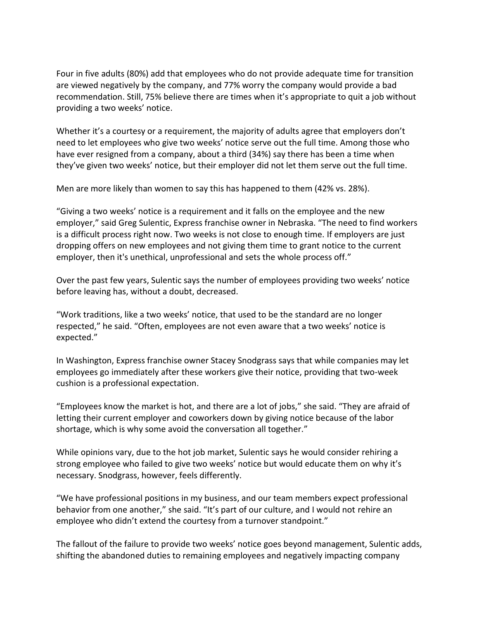Four in five adults (80%) add that employees who do not provide adequate time for transition are viewed negatively by the company, and 77% worry the company would provide a bad recommendation. Still, 75% believe there are times when it's appropriate to quit a job without providing a two weeks' notice.

Whether it's a courtesy or a requirement, the majority of adults agree that employers don't need to let employees who give two weeks' notice serve out the full time. Among those who have ever resigned from a company, about a third (34%) say there has been a time when they've given two weeks' notice, but their employer did not let them serve out the full time.

Men are more likely than women to say this has happened to them (42% vs. 28%).

"Giving a two weeks' notice is a requirement and it falls on the employee and the new employer," said Greg Sulentic, Express franchise owner in Nebraska. "The need to find workers is a difficult process right now. Two weeks is not close to enough time. If employers are just dropping offers on new employees and not giving them time to grant notice to the current employer, then it's unethical, unprofessional and sets the whole process off."

Over the past few years, Sulentic says the number of employees providing two weeks' notice before leaving has, without a doubt, decreased.

"Work traditions, like a two weeks' notice, that used to be the standard are no longer respected," he said. "Often, employees are not even aware that a two weeks' notice is expected."

In Washington, Express franchise owner Stacey Snodgrass says that while companies may let employees go immediately after these workers give their notice, providing that two-week cushion is a professional expectation.

"Employees know the market is hot, and there are a lot of jobs," she said. "They are afraid of letting their current employer and coworkers down by giving notice because of the labor shortage, which is why some avoid the conversation all together."

While opinions vary, due to the hot job market, Sulentic says he would consider rehiring a strong employee who failed to give two weeks' notice but would educate them on why it's necessary. Snodgrass, however, feels differently.

"We have professional positions in my business, and our team members expect professional behavior from one another," she said. "It's part of our culture, and I would not rehire an employee who didn't extend the courtesy from a turnover standpoint."

The fallout of the failure to provide two weeks' notice goes beyond management, Sulentic adds, shifting the abandoned duties to remaining employees and negatively impacting company